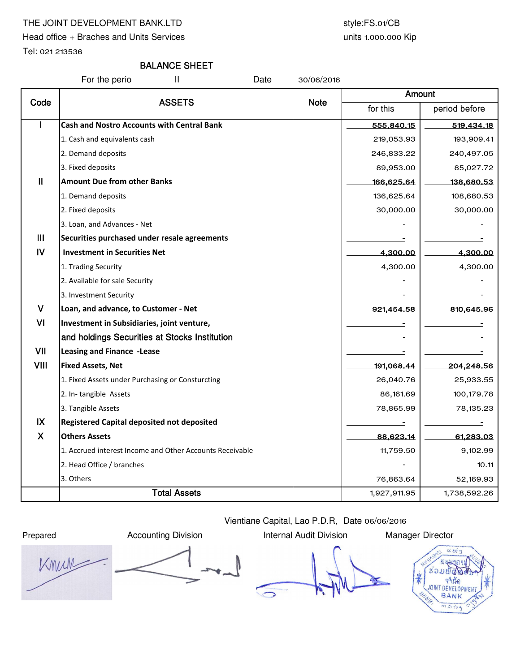# THE JOINT DEVELOPMENT BANK.LTD style:FS.01/CB

Head office + Braches and Units Services

Tel: 021 213536

## units 1.000.000 Kip

# BALANCE SHEET

For the perio The II Date 30/06/2016

| Code          | <b>ASSETS</b>                                            |             | Amount       |               |  |
|---------------|----------------------------------------------------------|-------------|--------------|---------------|--|
|               |                                                          | <b>Note</b> | for this     | period before |  |
|               | <b>Cash and Nostro Accounts with Central Bank</b>        |             | 555,840.15   | 519,434.18    |  |
|               | 1. Cash and equivalents cash                             |             | 219,053.93   | 193,909.41    |  |
|               | 2. Demand deposits                                       |             | 246,833.22   | 240,497.05    |  |
|               | 3. Fixed deposits                                        |             | 89,953.00    | 85,027.72     |  |
| $\mathbf{II}$ | <b>Amount Due from other Banks</b>                       |             | 166,625.64   | 138,680.53    |  |
|               | 1. Demand deposits                                       |             | 136,625.64   | 108,680.53    |  |
|               | 2. Fixed deposits                                        |             | 30,000.00    | 30,000.00     |  |
|               | 3. Loan, and Advances - Net                              |             |              |               |  |
| III           | Securities purchased under resale agreements             |             |              |               |  |
| $\mathsf{IV}$ | <b>Investment in Securities Net</b>                      |             | 4,300.00     | 4,300.00      |  |
|               | 1. Trading Security                                      |             | 4,300.00     | 4,300.00      |  |
|               | 2. Available for sale Security                           |             |              |               |  |
|               | 3. Investment Security                                   |             |              |               |  |
| $\mathsf{V}$  | Loan, and advance, to Customer - Net                     |             | 921,454.58   | 810,645.96    |  |
| VI            | Investment in Subsidiaries, joint venture,               |             |              |               |  |
|               | and holdings Securities at Stocks Institution            |             |              |               |  |
| VII           | <b>Leasing and Finance -Lease</b>                        |             |              |               |  |
| <b>VIII</b>   | <b>Fixed Assets, Net</b>                                 |             | 191,068.44   | 204,248.56    |  |
|               | 1. Fixed Assets under Purchasing or Consturcting         |             | 26,040.76    | 25,933.55     |  |
|               | 2. In-tangible Assets                                    |             | 86,161.69    | 100,179.78    |  |
|               | 3. Tangible Assets                                       |             | 78,865.99    | 78,135.23     |  |
| IX            | <b>Registered Capital deposited not deposited</b>        |             |              |               |  |
| $\mathsf{X}$  | <b>Others Assets</b>                                     |             | 88,623.14    | 61,283.03     |  |
|               | 1. Accrued interest Income and Other Accounts Receivable |             | 11,759.50    | 9,102.99      |  |
|               | 2. Head Office / branches                                |             |              | 10.11         |  |
|               | 3. Others                                                |             | 76,863.64    | 52,169.93     |  |
|               | <b>Total Assets</b>                                      |             | 1,927,911.95 | 1,738,592.26  |  |

Knun  $\overline{\phantom{a}}$ 

Prepared **Accounting Division** Internal Audit Division Manager Director

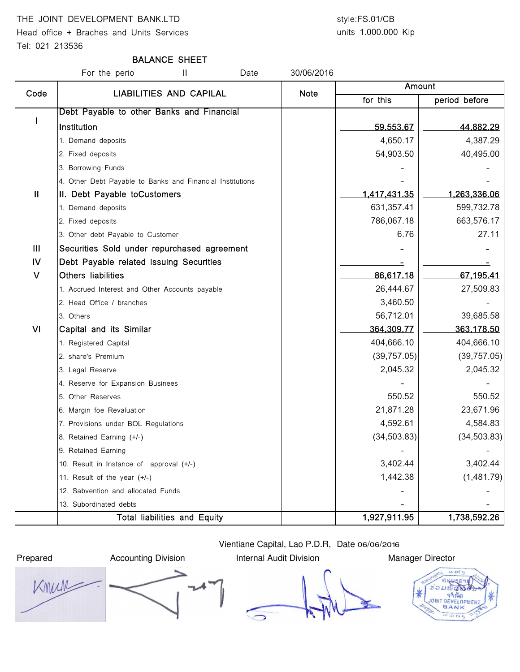# THE JOINT DEVELOPMENT BANK.LTD style:FS.01/CB

Head office + Braches and Units Services

## Tel: 021 213536

# units 1.000.000 Kip

# BALANCE SHEET

For the perio **II** Date 30/06/2016 for this **period before** I Debt Payable to other Banks and Financial Institution 59,553.67 44,882.29 1. Demand deposits 4,387.29 2. Fixed deposits 64,903.50 **54,903.50** 40,495.00 3. Borrowing Funds 4. Other Debt Payable to Banks and Financial Institutions II | II. Debt Payable toCustomers | 1,417,431.35 | 1,263,336.06 1. Demand deposits 631,357.41 599,732.78 2. Fixed deposits 786,067.18 663,576.17 3. Other debt Payable to Customer and the control of the control of the control of the control of the control of the control of the control of the control of the control of the control of the control of the control of the III Securities Sold under repurchased agreement - - IV Debt Payable related issuing Securities - - V Others liabilities 86,617.18 67,195.41 1. Accrued Interest and Other Accounts payable 26,444.67 27,509.83 2. Head Office / branches 3,460.50  $\sim$  3,460.50 3. Others 56,712.01 39,685.58 Amount Code | LIABILITIES AND CAPILAL | Note VI Capital and its Similar 364,309.77 364,309.77 363,178.50 1. Registered Capital 1. **Alternative Capital 1. Alternative Capital 1. Alternative Capital 404,666.10** 404,666.10 2. share's Premium (39,757.05) (39,757.05) 3. Legal Reserve 2,045.32 2,045.32 4. Reserve for Expansion Businees 5. Other Reserves 550.52 550.52 6. Margin foe Revaluation 21,871.28 23,671.96 7. Provisions under BOL Regulations **4,584.83 4,584.83** 8. Retained Earning (+/-) (34,503.83) 9. Retained Earning 10. Result in Instance of approval (+/-)  $\qquad \qquad$   $\qquad \qquad$  3,402.44 3,402.44 11. Result of the year (+/-) 1,442.38 (1,481.79) 12. Sabvention and allocated Funds 13. Subordinated debts Total liabilities and Equity 1,927,911.95 1,738,592.26

Prepared **Accounting Division** Internal Audit Division Manager Director



Knun

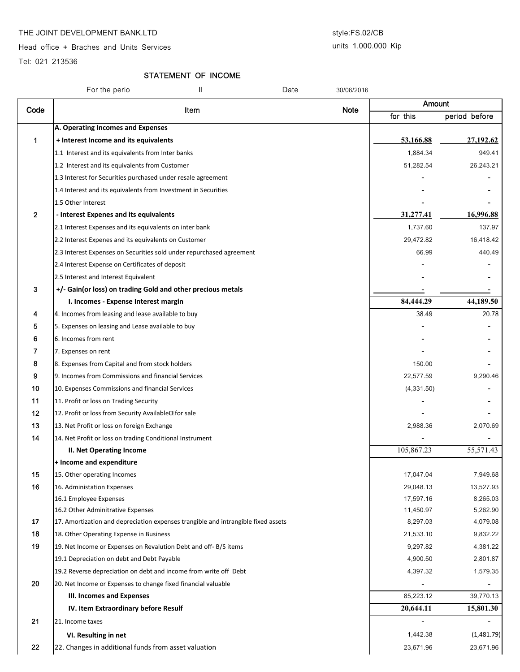## THE JOINT DEVELOPMENT BANK.LTD style:FS.02/CB

Head office + Braches and Units Services

# units 1.000.000 Kip

Tel: 021 213536

# STATEMENT OF INCOME

|              | Ш<br>For the perio                                                                | Date | 30/06/2016  |             |               |
|--------------|-----------------------------------------------------------------------------------|------|-------------|-------------|---------------|
| Code         |                                                                                   |      |             | Amount      |               |
|              | Item                                                                              |      | <b>Note</b> | for this    | period before |
|              | A. Operating Incomes and Expenses                                                 |      |             |             |               |
| 1            | + Interest Income and its equivalents                                             |      |             | 53,166.88   | 27,192.62     |
|              | 1.1 Interest and its equivalents from Inter banks                                 |      |             | 1,884.34    | 949.41        |
|              | 1.2 Interest and its equivalents from Customer                                    |      |             | 51,282.54   | 26,243.21     |
|              | 1.3 Interest for Securities purchased under resale agreement                      |      |             |             |               |
|              | 1.4 Interest and its equivalents from Investment in Securities                    |      |             |             |               |
|              | 1.5 Other Interest                                                                |      |             |             |               |
| $\mathbf{2}$ | - Interest Expenes and its equivalents                                            |      |             | 31,277.41   | 16,996.88     |
|              | 2.1 Interest Expenses and its equivalents on inter bank                           |      |             | 1,737.60    | 137.97        |
|              | 2.2 Interest Expenes and its equivalents on Customer                              |      |             | 29,472.82   | 16,418.42     |
|              | 2.3 Interest Expenses on Securities sold under repurchased agreement              |      |             | 66.99       | 440.49        |
|              | 2.4 Interest Expense on Certificates of deposit                                   |      |             |             |               |
|              | 2.5 Interest and Interest Equivalent                                              |      |             |             |               |
| 3            | +/- Gain(or loss) on trading Gold and other precious metals                       |      |             |             |               |
|              | I. Incomes - Expense Interest margin                                              |      |             | 84,444.29   | 44,189.50     |
| 4            | 4. Incomes from leasing and lease available to buy                                |      |             | 38.49       | 20.78         |
| 5            | 5. Expenses on leasing and Lease available to buy                                 |      |             |             |               |
| 6            | 6. Incomes from rent                                                              |      |             |             |               |
| 7            | 7. Expenses on rent                                                               |      |             |             |               |
| 8            | 8. Expenses from Capital and from stock holders                                   |      |             | 150.00      |               |
| 9            | 9. Incomes from Commissions and financial Services                                |      |             | 22,577.59   | 9,290.46      |
| 10           | 10. Expenses Commissions and financial Services                                   |      |             | (4, 331.50) |               |
| 11           | 11. Profit or loss on Trading Security                                            |      |             |             |               |
| 12           | 12. Profit or loss from Security AvailableŒfor sale                               |      |             |             |               |
| 13           | 13. Net Profit or loss on foreign Exchange                                        |      |             | 2,988.36    | 2,070.69      |
| 14           | 14. Net Profit or loss on trading Conditional Instrument                          |      |             |             |               |
|              | II. Net Operating Income                                                          |      |             | 105,867.23  | 55,571.43     |
|              | + Income and expenditure                                                          |      |             |             |               |
| 15           | 15. Other operating Incomes                                                       |      |             | 17,047.04   | 7,949.68      |
| 16           | 16. Administation Expenses                                                        |      |             | 29,048.13   | 13,527.93     |
|              | 16.1 Employee Expenses                                                            |      |             | 17,597.16   | 8,265.03      |
|              | 16.2 Other Adminitrative Expenses                                                 |      |             | 11,450.97   | 5,262.90      |
| 17           | 17. Amortization and depreciation expenses trangible and intrangible fixed assets |      |             | 8,297.03    | 4,079.08      |
| 18           | 18. Other Operating Expense in Business                                           |      |             | 21,533.10   | 9,832.22      |
| 19           | 19. Net Income or Expenses on Revalution Debt and off-B/S items                   |      |             | 9,297.82    | 4,381.22      |
|              | 19.1 Depreciation on debt and Debt Payable                                        |      |             | 4,900.50    | 2,801.87      |
|              | 19.2 Reverse depreciation on debt and income from write off Debt                  |      |             | 4,397.32    | 1,579.35      |
| 20           | 20. Net Income or Expenses to change fixed financial valuable                     |      |             |             |               |
|              | <b>III. Incomes and Expenses</b>                                                  |      |             | 85,223.12   | 39,770.13     |
|              | IV. Item Extraordinary before Resulf                                              |      |             | 20,644.11   | 15,801.30     |
| 21           | 21. Income taxes                                                                  |      |             |             |               |
|              | VI. Resulting in net                                                              |      |             | 1,442.38    | (1,481.79)    |
| 22           | 22. Changes in additional funds from asset valuation                              |      |             | 23,671.96   | 23,671.96     |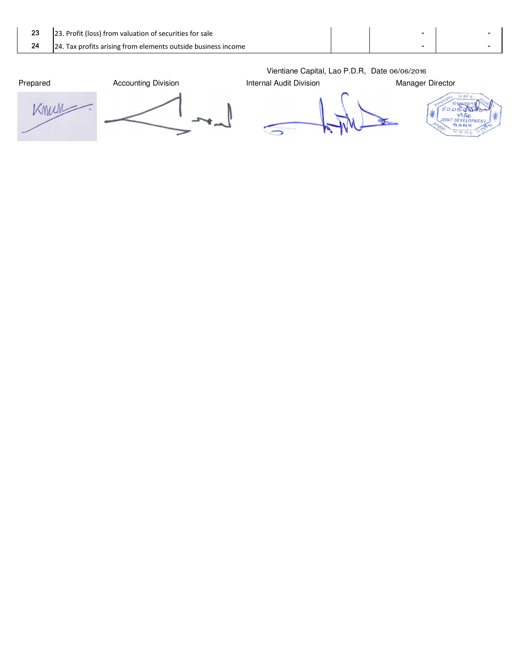| 23 | 23. Profit (loss) from valuation of securities for sale       |  |  |
|----|---------------------------------------------------------------|--|--|
|    | 24. Tax profits arising from elements outside business income |  |  |
|    |                                                               |  |  |

Knun  $\overline{\cdot}$ 





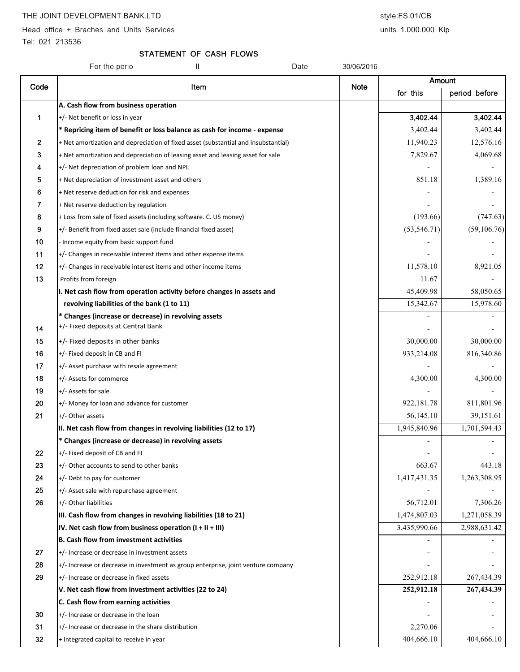Head office + Braches and Units Services and Units Services units 1.000.000 Kip

Tel: 021 213536

### STATEMENT OF CASH FLOWS

For the perio **II II** Date 30/06/2016 for this | period before A. Cash flow from business operation 1 +/- Net benefit or loss in year 3,402.44 3,402.44 3,402.44 \* Repricing item of benefit or loss balance as cash for income - expense  $\vert$  3,402.44 3,402.44 3,402.44 3,402.44 2  $+$  Net amortization and depreciation of fixed asset (substantial and insubstantial) 11,940.23 12,576.16 3  $+$  Net amortization and depreciation of leasing asset and leasing asset for sale  $7,829.67$   $4,069.68$ 4  $+/-$  Net depreciation of problem loan and NPL  $\frac{1}{1}$  + Net depreciation of investment asset and others 851.18 1,389.16  $\bf{6}$  + Net reserve deduction for risk and expenses  $7 +$  Net reserve deduction by regulation 8  $+$  Loss from sale of fixed assets (including software. C. US money) (193.66) (193.66) (747.63) 9  $+/-$  Benefit from fixed asset sale (include financial fixed asset) (53,546.71) (53,546.71) (59,106.76)  $10$  - Income equity from basic support fund  $11$   $+/-$  Changes in receivable interest items and other expense items 12  $+/-$  Changes in receivable interest items and other income items 11,578.10  $\vert$  11,578.10 8,921.05 **13** Profits from foreign 11.67  $\blacksquare$ I. Net cash flow from operation activity before changes in assets and 45,409.98 58,050.65 **revolving liabilities of the bank (1 to 11)**  $15,342.67$   $15,342.67$   $15,978.60$ \* Changes (increase or decrease) in revolving assets Amount Code Item Note  $14$  +/- Fixed deposits at Central Bank 15 +/- Fixed deposits in other banks 30,000 and the banks 30,000 and the state of the state of the state of the state of the state of the state of the state of the state of the state of the state of the state of the state **16**  $+/-$  Fixed deposit in CB and FI 816,340.86  $17$  +/- Asset purchase with resale agreement 18 +/- Assets for commerce 4,300.00 4,300.00 19 +/- Assets for sale - - 20  $+/-$  Money for loan and advance for customer  $\vert$  922,181.78  $\vert$  922,181.78 811,801.96 **21**  $\left| \cdot \right|$  +/- Other assets 56,145.10  $\left| \cdot \right|$  56,145.10  $\left| \cdot \right|$  39,151.61 II. Net cash flow from changes in revolving liabilities (12 to 17)  $\vert$  1,945,840.96 1,701,594.43 \* Changes (increase or decrease) in revolving assets - - 22  $+/-$  Fixed deposit of CB and FI 23  $\vert$  +/- Other accounts to send to other banks 663.67  $\vert$  663.67  $\vert$  443.18 24  $+/-$  Debt to pay for customer 1,417,431.35 1,263,308.95  $25$   $\rightarrow$   $\rightarrow$  Asset sale with repurchase agreement  $\rightarrow$  -  $\rightarrow$  -  $\rightarrow$  -  $\rightarrow$  -  $\rightarrow$  -  $\rightarrow$  -  $\rightarrow$  -**26**  $\left| \cdot \right|$  - Other liabilities 7,306.26 III. Cash flow from changes in revolving liabilities (18 to 21)  $1.474,807.03$   $1.474,807.03$   $1.271,058.39$ IV. Net cash flow from business operation  $(I + II + III)$   $| 3,435,990.66 | 2,988,631.42$ B. Cash flow from investment activities  $27$   $+/-$  Increase or decrease in investment assets  $28$  +/- Increase or decrease in investment as group enterprise, joint venture company 29  $+/-$  Increase or decrease in fixed assets 267,434.39 V. Net cash flow from investment activities (22 to 24) 252,912.18 252,912.18 267,434.39 C. Cash flow from earning activities and the state of the state of the state of the state of the state of the state of the state of the state of the state of the state of the state of the state of the state of the state of  $30$   $\left|+\right>$ -Increase or decrease in the loan  $\left|+\right>$  -  $\left|-\right>$  -  $\left|-\right>$  -  $\left|-\right>$  -  $\left|-\right>$  -  $\left|-\right>$  -  $\left|-\right>$  -  $\left|-\right>$  -  $\left|-\right>$  -  $\left|-\right>$  -  $\left|-\right>$  -  $\left|-\right>$  -  $\left|-\right>$  -  $\left|-\right>$  -  $\left|-\right>$  -  $\left|-\right>$   $31$  +/- Increase or decrease in the share distribution  $2,270.06$ 32  $+$  Integrated capital to receive in year  $404,666.10$   $404,666.10$   $404,666.10$